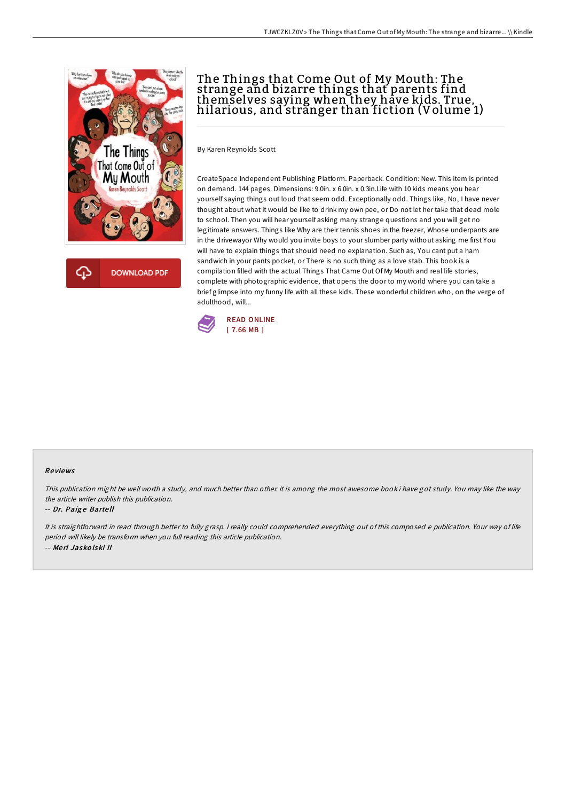



## The Things that Come Out of My Mouth: The strange and bizarre things that parents find themselves saying when they have kids. True, hilarious, and stranger than fiction (Volume 1)

By Karen Reynolds Scott

CreateSpace Independent Publishing Platform. Paperback. Condition: New. This item is printed on demand. 144 pages. Dimensions: 9.0in. x 6.0in. x 0.3in.Life with 10 kids means you hear yourself saying things out loud that seem odd. Exceptionally odd. Things like, No, I have never thought about what it would be like to drink my own pee, or Do not let her take that dead mole to school. Then you will hear yourself asking many strange questions and you will get no legitimate answers. Things like Why are their tennis shoes in the freezer, Whose underpants are in the drivewayor Why would you invite boys to your slumber party without asking me first You will have to explain things that should need no explanation. Such as, You cant put a ham sandwich in your pants pocket, or There is no such thing as a love stab. This book is a compilation filled with the actual Things That Came Out Of My Mouth and real life stories, complete with photographic evidence, that opens the door to my world where you can take a brief glimpse into my funny life with all these kids. These wonderful children who, on the verge of adulthood, will...



## Re views

This publication might be well worth <sup>a</sup> study, and much better than other. It is among the most awesome book i have got study. You may like the way the article writer publish this publication.

## -- Dr. Paig <sup>e</sup> Barte ll

It is straightforward in read through better to fully grasp. <sup>I</sup> really could comprehended everything out of this composed <sup>e</sup> publication. Your way of life period will likely be transform when you full reading this article publication. -- Me rl Jasko lski II